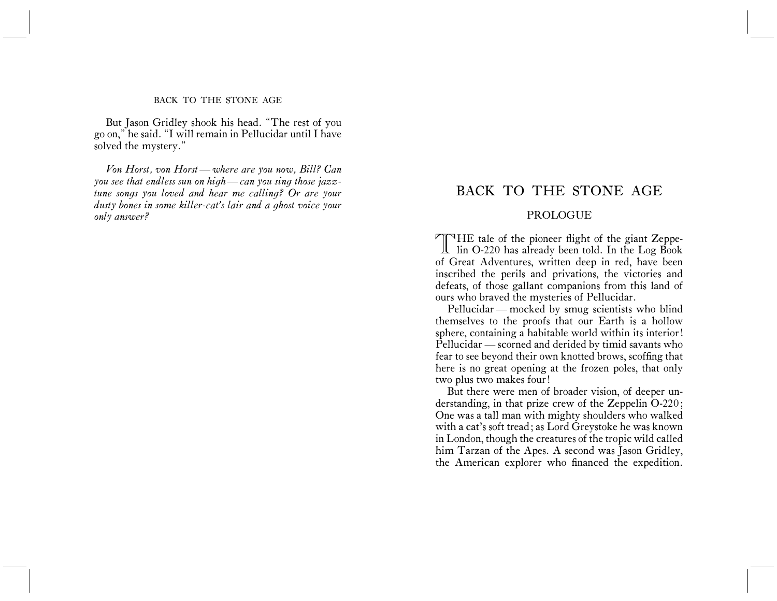### BACK TO THE STONE AGE

But Jason Gridley shook his head. "The rest of you go on," he said. "I will remain in Pellucidar until I have solved the mystery."

*Von Horst, von Horst — where are you now, Bill? Can you see that endless sun on high — can you sing those jazztune songs you loved and hear me calling? Or are your dusty bones in some killer-cat's lair and a ghost voice your only answer?*

# BACK TO THE STONE AGE

# PROLOGUE

THE tale of the pioneer flight of the giant Zeppe- $\perp$  lin O-220 has already been told. In the Log Book of Great Adventures, written deep in red, have been inscribed the perils and privations, the victories and defeats, of those gallant companions from this land of ours who braved the mysteries of Pellucidar.

Pellucidar — mocked by smug scientists who blind themselves to the proofs that our Earth is a hollow sphere, containing a habitable world within its interior! Pellucidar — scorned and derided by timid savants who fear to see beyond their own knotted brows, scoffing that here is no great opening at the frozen poles, that only two plus two makes four!

But there were men of broader vision, of deeper understanding, in that prize crew of the Zeppelin O-220; One was a tall man with mighty shoulders who walked with a cat's soft tread; as Lord Greystoke he was known in London, though the creatures of the tropic wild called him Tarzan of the Apes. A second was Jason Gridley, the American explorer who financed the expedition.